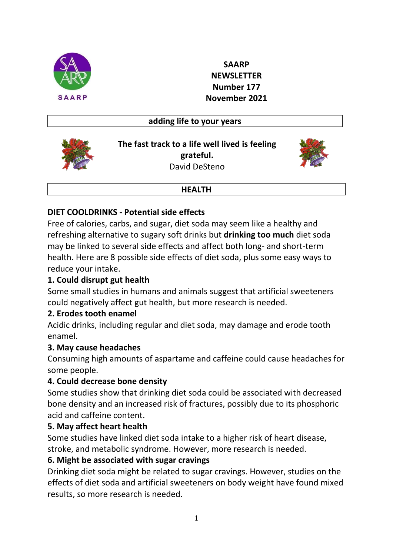

**SAARP NEWSLETTER Number 177 November 2021**

### **adding life to your years**



**The fast track to a life well lived is feeling grateful.** David DeSteno



#### **HEALTH**

## **DIET COOLDRINKS - Potential side effects**

Free of calories, carbs, and sugar, diet soda may seem like a healthy and refreshing alternative to sugary soft drinks but **drinking too much** diet soda may be linked to several side effects and affect both long- and short-term health. Here are 8 possible side effects of diet soda, plus some easy ways to reduce your intake.

## **1. Could disrupt gut health**

Some small studies in humans and animals suggest that artificial sweeteners could negatively affect gut health, but more research is needed.

### **2. Erodes tooth enamel**

Acidic drinks, including regular and diet soda, may damage and erode tooth enamel.

### **3. May cause headaches**

Consuming high amounts of aspartame and caffeine could cause headaches for some people.

### **4. Could decrease bone density**

Some studies show that drinking diet soda could be associated with decreased bone density and an increased risk of fractures, possibly due to its phosphoric acid and caffeine content.

## **5. May affect heart health**

Some studies have linked diet soda intake to a higher risk of heart disease, stroke, and metabolic syndrome. However, more research is needed.

## **6. Might be associated with sugar cravings**

Drinking diet soda might be related to sugar cravings. However, studies on the effects of diet soda and artificial sweeteners on body weight have found mixed results, so more research is needed.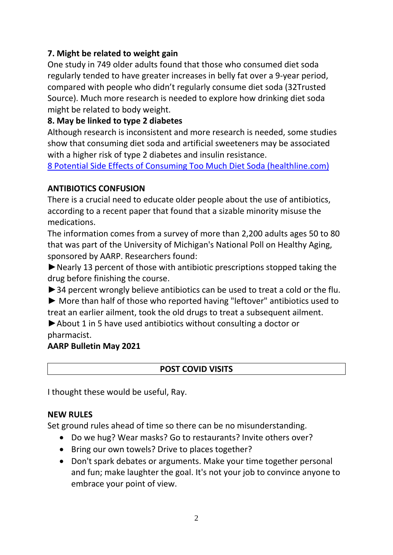# **7. Might be related to weight gain**

One study in 749 older adults found that those who consumed diet soda regularly tended to have greater increases in belly fat over a 9-year period, compared with people who didn't regularly consume diet soda (32Trusted Source). Much more research is needed to explore how drinking diet soda might be related to body weight.

# **8. May be linked to type 2 diabetes**

Although research is inconsistent and more research is needed, some studies show that consuming diet soda and artificial sweeteners may be associated with a higher risk of type 2 diabetes and insulin resistance.

[8 Potential Side Effects of Consuming Too Much Diet Soda \(healthline.com\)](https://www.healthline.com/nutrition/symptoms-of-drinking-too-much-diet-soda?slot_pos=article_1&utm_source=Sailthru%20Email&utm_medium=Email&utm_campaign=authoritynutrition&utm_content=2021-09-06&apid=29810483&rvid=e246d1a70ebdb60209d331e50784d602509a449b75809239a1eae0a278d1a265)

## **ANTIBIOTICS CONFUSION**

There is a crucial need to educate older people about the use of antibiotics, according to a recent paper that found that a sizable minority misuse the medications.

The information comes from a survey of more than 2,200 adults ages 50 to 80 that was part of the University of Michigan's National Poll on Healthy Aging, sponsored by AARP. Researchers found:

►Nearly 13 percent of those with antibiotic prescriptions stopped taking the drug before finishing the course.

▶ 34 percent wrongly believe antibiotics can be used to treat a cold or the flu.

► More than half of those who reported having "leftover" antibiotics used to treat an earlier ailment, took the old drugs to treat a subsequent ailment.

►About 1 in 5 have used antibiotics without consulting a doctor or pharmacist.

## **AARP Bulletin May 2021**

## **POST COVID VISITS**

I thought these would be useful, Ray.

### **NEW RULES**

Set ground rules ahead of time so there can be no misunderstanding.

- Do we hug? Wear masks? Go to restaurants? Invite others over?
- Bring our own towels? Drive to places together?
- Don't spark debates or arguments. Make your time together personal and fun; make laughter the goal. It's not your job to convince anyone to embrace your point of view.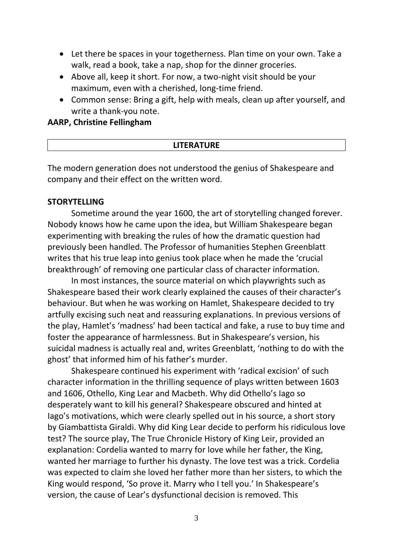- Let there be spaces in your togetherness. Plan time on your own. Take a walk, read a book, take a nap, shop for the dinner groceries.
- Above all, keep it short. For now, a two-night visit should be your maximum, even with a cherished, long-time friend.
- Common sense: Bring a gift, help with meals, clean up after yourself, and write a thank-you note.

#### **AARP, Christine Fellingham**

#### **LITERATURE**

The modern generation does not understood the genius of Shakespeare and company and their effect on the written word.

#### **STORYTELLING**

Sometime around the year 1600, the art of storytelling changed forever. Nobody knows how he came upon the idea, but William Shakespeare began experimenting with breaking the rules of how the dramatic question had previously been handled. The Professor of humanities Stephen Greenblatt writes that his true leap into genius took place when he made the 'crucial breakthrough' of removing one particular class of character information.

In most instances, the source material on which playwrights such as Shakespeare based their work clearly explained the causes of their character's behaviour. But when he was working on Hamlet, Shakespeare decided to try artfully excising such neat and reassuring explanations. In previous versions of the play, Hamlet's 'madness' had been tactical and fake, a ruse to buy time and foster the appearance of harmlessness. But in Shakespeare's version, his suicidal madness is actually real and, writes Greenblatt, 'nothing to do with the ghost' that informed him of his father's murder.

Shakespeare continued his experiment with 'radical excision' of such character information in the thrilling sequence of plays written between 1603 and 1606, Othello, King Lear and Macbeth. Why did Othello's Iago so desperately want to kill his general? Shakespeare obscured and hinted at Iago's motivations, which were clearly spelled out in his source, a short story by Giambattista Giraldi. Why did King Lear decide to perform his ridiculous love test? The source play, The True Chronicle History of King Leir, provided an explanation: Cordelia wanted to marry for love while her father, the King, wanted her marriage to further his dynasty. The love test was a trick. Cordelia was expected to claim she loved her father more than her sisters, to which the King would respond, 'So prove it. Marry who I tell you.' In Shakespeare's version, the cause of Lear's dysfunctional decision is removed. This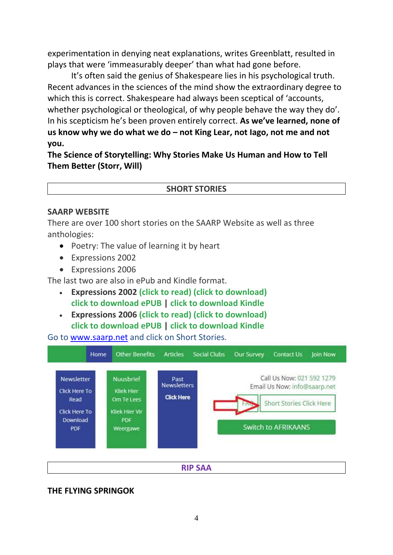experimentation in denying neat explanations, writes Greenblatt, resulted in plays that were 'immeasurably deeper' than what had gone before.

It's often said the genius of Shakespeare lies in his psychological truth. Recent advances in the sciences of the mind show the extraordinary degree to which this is correct. Shakespeare had always been sceptical of 'accounts, whether psychological or theological, of why people behave the way they do'. In his scepticism he's been proven entirely correct. **As we've learned, none of us know why we do what we do – not King Lear, not Iago, not me and not you.**

**The Science of Storytelling: Why Stories Make Us Human and How to Tell Them Better (Storr, Will)**

#### **SHORT STORIES**

#### **SAARP WEBSITE**

There are over 100 short stories on the SAARP Website as well as three anthologies:

- Poetry: The value of learning it by heart
- Expressions 2002
- Expressions 2006

The last two are also in ePub and Kindle format.

- **Expressions 2002 [\(click to read\)](https://www.saarp.net/Expressions_2002.pdf) [\(click to download\)](https://www.saarp.net/Expressions_2002.pdf) [click to download ePUB](https://www.saarp.net/pdf/Expressions%202002.epub) | [click to download Kindle](https://www.saarp.net/pdf/Expressions%202002.azw3)**
- **Expressions 2006 [\(click to read\)](https://www.saarp.net/Expressions_2006.pdf) [\(click to download\)](https://www.saarp.net/Expressions_2006.pdf) [click to download ePUB](https://www.saarp.net/pdf/Expressions%202006.epub) | [click to download Kindle](https://www.saarp.net/pdf/Expressions%202006.azw3)**

Go to [www.saarp.net](http://www.saarp.net/) and click on Short Stories.



**RIP SAA**

#### **THE FLYING SPRINGOK**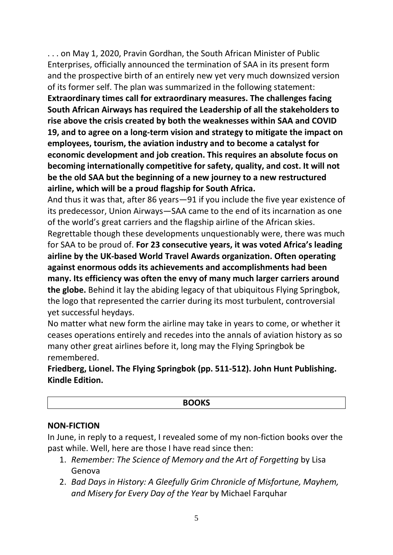. . . on May 1, 2020, Pravin Gordhan, the South African Minister of Public Enterprises, officially announced the termination of SAA in its present form and the prospective birth of an entirely new yet very much downsized version of its former self. The plan was summarized in the following statement: **Extraordinary times call for extraordinary measures. The challenges facing South African Airways has required the Leadership of all the stakeholders to rise above the crisis created by both the weaknesses within SAA and COVID 19, and to agree on a long-term vision and strategy to mitigate the impact on employees, tourism, the aviation industry and to become a catalyst for economic development and job creation. This requires an absolute focus on becoming internationally competitive for safety, quality, and cost. It will not be the old SAA but the beginning of a new journey to a new restructured airline, which will be a proud flagship for South Africa.** 

And thus it was that, after 86 years—91 if you include the five year existence of its predecessor, Union Airways—SAA came to the end of its incarnation as one of the world's great carriers and the flagship airline of the African skies. Regrettable though these developments unquestionably were, there was much for SAA to be proud of. **For 23 consecutive years, it was voted Africa's leading airline by the UK-based World Travel Awards organization. Often operating against enormous odds its achievements and accomplishments had been many. Its efficiency was often the envy of many much larger carriers around the globe.** Behind it lay the abiding legacy of that ubiquitous Flying Springbok, the logo that represented the carrier during its most turbulent, controversial yet successful heydays.

No matter what new form the airline may take in years to come, or whether it ceases operations entirely and recedes into the annals of aviation history as so many other great airlines before it, long may the Flying Springbok be remembered.

**Friedberg, Lionel. The Flying Springbok (pp. 511-512). John Hunt Publishing. Kindle Edition.**

#### **NON-FICTION**

In June, in reply to a request, I revealed some of my non-fiction books over the past while. Well, here are those I have read since then:

- 1. *Remember: The Science of Memory and the Art of Forgetting* by Lisa Genova
- 2. *Bad Days in History: A Gleefully Grim Chronicle of Misfortune, Mayhem, and Misery for Every Day of the Year* by Michael Farquhar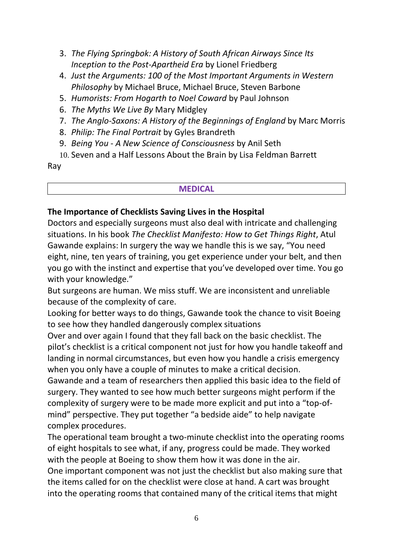- 3. *The Flying Springbok: A History of South African Airways Since Its Inception to the Post-Apartheid Era* by Lionel Friedberg
- 4. *Just the Arguments: 100 of the Most Important Arguments in Western Philosophy* by Michael Bruce, Michael Bruce, Steven Barbone
- 5. *Humorists: From Hogarth to Noel Coward* by Paul Johnson
- 6. *The Myths We Live By* Mary Midgley
- 7. *The Anglo-Saxons: A History of the Beginnings of England* by Marc Morris
- 8. *Philip: The Final Portrait* by Gyles Brandreth
- 9. *Being You - A New Science of Consciousness* by Anil Seth
- 10. Seven and a Half Lessons About the Brain by Lisa Feldman Barrett

Ray

#### **MEDICAL**

# **The Importance of Checklists Saving Lives in the Hospital**

Doctors and especially surgeons must also deal with intricate and challenging situations. In his book *The Checklist Manifesto: How to Get Things Right*, Atul Gawande explains: In surgery the way we handle this is we say, "You need eight, nine, ten years of training, you get experience under your belt, and then you go with the instinct and expertise that you've developed over time. You go with your knowledge."

But surgeons are human. We miss stuff. We are inconsistent and unreliable because of the complexity of care.

Looking for better ways to do things, Gawande took the chance to visit Boeing to see how they handled dangerously complex situations

Over and over again I found that they fall back on the basic checklist. The pilot's checklist is a critical component not just for how you handle takeoff and landing in normal circumstances, but even how you handle a crisis emergency when you only have a couple of minutes to make a critical decision.

Gawande and a team of researchers then applied this basic idea to the field of surgery. They wanted to see how much better surgeons might perform if the complexity of surgery were to be made more explicit and put into a "top-ofmind" perspective. They put together "a bedside aide" to help navigate complex procedures.

The operational team brought a two-minute checklist into the operating rooms of eight hospitals to see what, if any, progress could be made. They worked with the people at Boeing to show them how it was done in the air. One important component was not just the checklist but also making sure that the items called for on the checklist were close at hand. A cart was brought

into the operating rooms that contained many of the critical items that might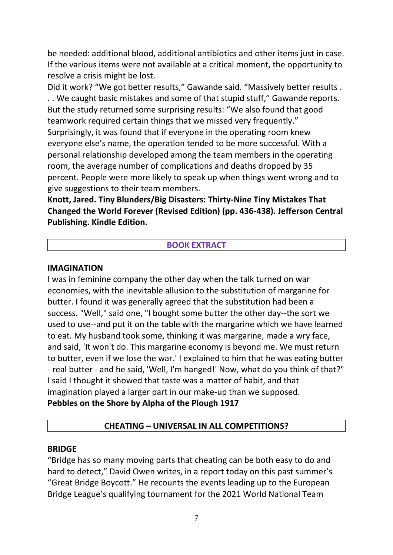be needed: additional blood, additional antibiotics and other items just in case. If the various items were not available at a critical moment, the opportunity to resolve a crisis might be lost.

Did it work? "We got better results," Gawande said. "Massively better results . . . We caught basic mistakes and some of that stupid stuff," Gawande reports. But the study returned some surprising results: "We also found that good teamwork required certain things that we missed very frequently." Surprisingly, it was found that if everyone in the operating room knew everyone else's name, the operation tended to be more successful. With a personal relationship developed among the team members in the operating room, the average number of complications and deaths dropped by 35 percent. People were more likely to speak up when things went wrong and to give suggestions to their team members.

**Knott, Jared. Tiny Blunders/Big Disasters: Thirty-Nine Tiny Mistakes That Changed the World Forever (Revised Edition) (pp. 436-438). Jefferson Central Publishing. Kindle Edition.**

#### **BOOK EXTRACT**

#### **IMAGINATION**

I was in feminine company the other day when the talk turned on war economies, with the inevitable allusion to the substitution of margarine for butter. I found it was generally agreed that the substitution had been a success. "Well," said one, "I bought some butter the other day--the sort we used to use--and put it on the table with the margarine which we have learned to eat. My husband took some, thinking it was margarine, made a wry face, and said, 'It won't do. This margarine economy is beyond me. We must return to butter, even if we lose the war.' I explained to him that he was eating butter - real butter - and he said, 'Well, I'm hanged!' Now, what do you think of that?" I said I thought it showed that taste was a matter of habit, and that imagination played a larger part in our make-up than we supposed. **Pebbles on the Shore by Alpha of the Plough 1917**

### **CHEATING – UNIVERSAL IN ALL COMPETITIONS?**

#### **BRIDGE**

"Bridge has so many moving parts that cheating can be both easy to do and hard to detect," David Owen writes, in a report today on this past summer's "Great Bridge Boycott." He recounts the events leading up to the European Bridge League's qualifying tournament for the 2021 World National Team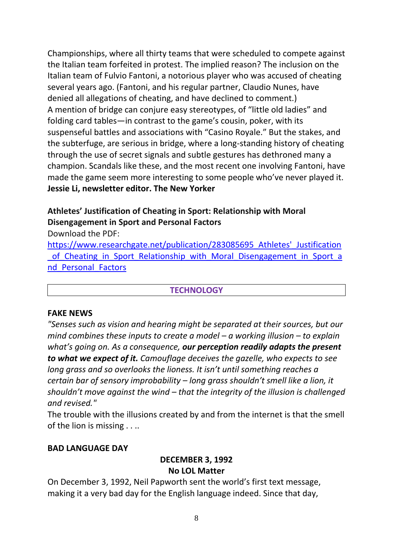Championships, where all thirty teams that were scheduled to compete against the Italian team forfeited in protest. The implied reason? The inclusion on the Italian team of Fulvio Fantoni, a notorious player who was accused of cheating several years ago. (Fantoni, and his regular partner, Claudio Nunes, have denied all allegations of cheating, and have declined to comment.) A mention of bridge can conjure easy stereotypes, of "little old ladies" and folding card tables—in contrast to the game's cousin, poker, with its suspenseful battles and associations with "Casino Royale." But the stakes, and the subterfuge, are serious in bridge, where a long-standing history of cheating through the use of secret signals and subtle gestures has dethroned many a champion. Scandals like these, and the most recent one involving Fantoni, have made the game seem more interesting to some people who've never played it. **Jessie Li, newsletter editor. The New Yorker**

# **Athletes' Justification of Cheating in Sport: Relationship with Moral Disengagement in Sport and Personal Factors**

Download the PDF:

[https://www.researchgate.net/publication/283085695\\_Athletes'\\_Justification](https://www.researchgate.net/publication/283085695_Athletes) of Cheating in Sport Relationship with Moral Disengagement in Sport a nd Personal Factors

## **TECHNOLOGY**

### **FAKE NEWS**

*"Senses such as vision and hearing might be separated at their sources, but our mind combines these inputs to create a model – a working illusion – to explain what's going on. As a consequence, our perception readily adapts the present to what we expect of it. Camouflage deceives the gazelle, who expects to see long grass and so overlooks the lioness. It isn't until something reaches a certain bar of sensory improbability – long grass shouldn't smell like a lion, it shouldn't move against the wind – that the integrity of the illusion is challenged and revised."*

The trouble with the illusions created by and from the internet is that the smell of the lion is missing . . ..

### **BAD LANGUAGE DAY**

### **DECEMBER 3, 1992 No LOL Matter**

On December 3, 1992, Neil Papworth sent the world's first text message, making it a very bad day for the English language indeed. Since that day,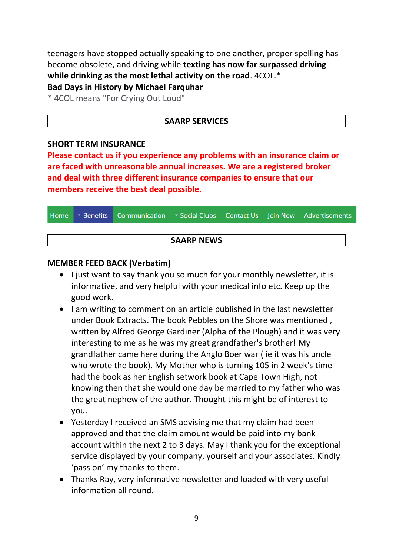teenagers have stopped actually speaking to one another, proper spelling has become obsolete, and driving while **texting has now far surpassed driving while drinking as the most lethal activity on the road**. 4COL.\* **Bad Days in History by Michael Farquhar**

\* 4COL means "For Crying Out Loud"

#### **SAARP SERVICES**

#### **SHORT TERM INSURANCE**

**Please contact us if you experience any problems with an insurance claim or are faced with unreasonable annual increases. We are a registered broker and deal with three different insurance companies to ensure that our members receive the best deal possible.**

|                   |  | Home Benefits Communication Social Clubs Contact Us Join Now Advertisements |  |  |  |  |  |  |  |
|-------------------|--|-----------------------------------------------------------------------------|--|--|--|--|--|--|--|
|                   |  |                                                                             |  |  |  |  |  |  |  |
| <b>SAARP NEWS</b> |  |                                                                             |  |  |  |  |  |  |  |

#### **MEMBER FEED BACK (Verbatim)**

- I just want to say thank you so much for your monthly newsletter, it is informative, and very helpful with your medical info etc. Keep up the good work.
- I am writing to comment on an article published in the last newsletter under Book Extracts. The book Pebbles on the Shore was mentioned , written by Alfred George Gardiner (Alpha of the Plough) and it was very interesting to me as he was my great grandfather's brother! My grandfather came here during the Anglo Boer war ( ie it was his uncle who wrote the book). My Mother who is turning 105 in 2 week's time had the book as her English setwork book at Cape Town High, not knowing then that she would one day be married to my father who was the great nephew of the author. Thought this might be of interest to you.
- Yesterday I received an SMS advising me that my claim had been approved and that the claim amount would be paid into my bank account within the next 2 to 3 days. May I thank you for the exceptional service displayed by your company, yourself and your associates. Kindly 'pass on' my thanks to them.
- Thanks Ray, very informative newsletter and loaded with very useful information all round.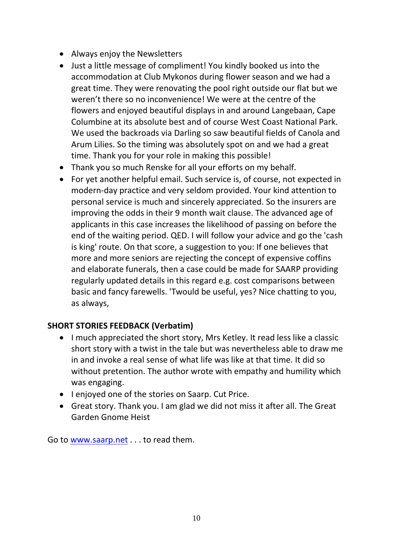- Always enjoy the Newsletters
- Just a little message of compliment! You kindly booked us into the accommodation at Club Mykonos during flower season and we had a great time. They were renovating the pool right outside our flat but we weren't there so no inconvenience! We were at the centre of the flowers and enjoyed beautiful displays in and around Langebaan, Cape Columbine at its absolute best and of course West Coast National Park. We used the backroads via Darling so saw beautiful fields of Canola and Arum Lilies. So the timing was absolutely spot on and we had a great time. Thank you for your role in making this possible!
- Thank you so much Renske for all your efforts on my behalf.
- For yet another helpful email. Such service is, of course, not expected in modern-day practice and very seldom provided. Your kind attention to personal service is much and sincerely appreciated. So the insurers are improving the odds in their 9 month wait clause. The advanced age of applicants in this case increases the likelihood of passing on before the end of the waiting period. QED. I will follow your advice and go the 'cash is king' route. On that score, a suggestion to you: If one believes that more and more seniors are rejecting the concept of expensive coffins and elaborate funerals, then a case could be made for SAARP providing regularly updated details in this regard e.g. cost comparisons between basic and fancy farewells. 'Twould be useful, yes? Nice chatting to you, as always,

## **SHORT STORIES FEEDBACK (Verbatim)**

- I much appreciated the short story, Mrs Ketley. It read less like a classic short story with a twist in the tale but was nevertheless able to draw me in and invoke a real sense of what life was like at that time. It did so without pretention. The author wrote with empathy and humility which was engaging.
- I enjoyed one of the stories on Saarp. Cut Price.
- Great story. Thank you. I am glad we did not miss it after all. The Great Garden Gnome Heist

Go to [www.saarp.net](http://www.saarp.net/) . . . to read them.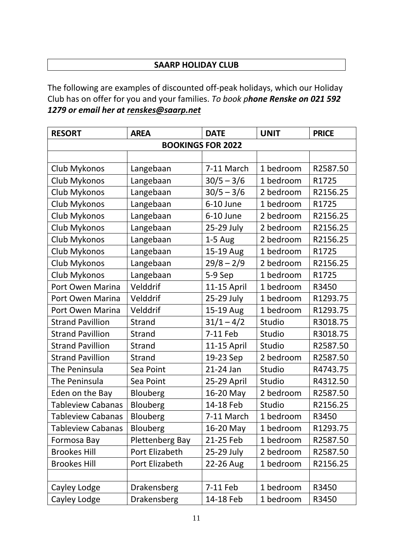### **SAARP HOLIDAY CLUB**

The following are examples of discounted off-peak holidays, which our Holiday Club has on offer for you and your families. *To book phone Renske on 021 592 1279 or email her at [renskes@saarp.net](mailto:renskes@saarp.net)*

| <b>RESORT</b>            | <b>AREA</b>            | <b>DATE</b>  | <b>UNIT</b> | <b>PRICE</b> |  |  |  |  |  |
|--------------------------|------------------------|--------------|-------------|--------------|--|--|--|--|--|
| <b>BOOKINGS FOR 2022</b> |                        |              |             |              |  |  |  |  |  |
|                          |                        |              |             |              |  |  |  |  |  |
| Club Mykonos             | Langebaan              | 7-11 March   | 1 bedroom   | R2587.50     |  |  |  |  |  |
| Club Mykonos             | Langebaan              | $30/5 - 3/6$ | 1 bedroom   | R1725        |  |  |  |  |  |
| Club Mykonos             | Langebaan              | $30/5 - 3/6$ | 2 bedroom   | R2156.25     |  |  |  |  |  |
| Club Mykonos             | Langebaan              | 6-10 June    | 1 bedroom   | R1725        |  |  |  |  |  |
| Club Mykonos             | Langebaan              | 6-10 June    | 2 bedroom   | R2156.25     |  |  |  |  |  |
| Club Mykonos             | Langebaan              | 25-29 July   | 2 bedroom   | R2156.25     |  |  |  |  |  |
| Club Mykonos             | Langebaan              | $1-5$ Aug    | 2 bedroom   | R2156.25     |  |  |  |  |  |
| Club Mykonos             | Langebaan              | 15-19 Aug    | 1 bedroom   | R1725        |  |  |  |  |  |
| Club Mykonos             | Langebaan              | $29/8 - 2/9$ | 2 bedroom   | R2156.25     |  |  |  |  |  |
| Club Mykonos             | Langebaan              | 5-9 Sep      | 1 bedroom   | R1725        |  |  |  |  |  |
| Port Owen Marina         | Velddrif               | 11-15 April  | 1 bedroom   | R3450        |  |  |  |  |  |
| Port Owen Marina         | Velddrif               | 25-29 July   | 1 bedroom   | R1293.75     |  |  |  |  |  |
| Port Owen Marina         | Velddrif               | 15-19 Aug    | 1 bedroom   | R1293.75     |  |  |  |  |  |
| <b>Strand Pavillion</b>  | Strand                 | $31/1 - 4/2$ | Studio      | R3018.75     |  |  |  |  |  |
| <b>Strand Pavillion</b>  | Strand                 | 7-11 Feb     | Studio      | R3018.75     |  |  |  |  |  |
| <b>Strand Pavillion</b>  | Strand                 | 11-15 April  | Studio      | R2587.50     |  |  |  |  |  |
| <b>Strand Pavillion</b>  | Strand                 | 19-23 Sep    | 2 bedroom   | R2587.50     |  |  |  |  |  |
| The Peninsula            | Sea Point              | 21-24 Jan    | Studio      | R4743.75     |  |  |  |  |  |
| The Peninsula            | Sea Point              | 25-29 April  | Studio      | R4312.50     |  |  |  |  |  |
| Eden on the Bay          | Blouberg               | 16-20 May    | 2 bedroom   | R2587.50     |  |  |  |  |  |
| <b>Tableview Cabanas</b> | Blouberg               | 14-18 Feb    | Studio      | R2156.25     |  |  |  |  |  |
| <b>Tableview Cabanas</b> | Blouberg               | 7-11 March   | 1 bedroom   | R3450        |  |  |  |  |  |
| <b>Tableview Cabanas</b> | <b>Blouberg</b>        | 16-20 May    | 1 bedroom   | R1293.75     |  |  |  |  |  |
| Formosa Bay              | <b>Plettenberg Bay</b> | 21-25 Feb    | 1 bedroom   | R2587.50     |  |  |  |  |  |
| <b>Brookes Hill</b>      | Port Elizabeth         | 25-29 July   | 2 bedroom   | R2587.50     |  |  |  |  |  |
| <b>Brookes Hill</b>      | Port Elizabeth         | 22-26 Aug    | 1 bedroom   | R2156.25     |  |  |  |  |  |
|                          |                        |              |             |              |  |  |  |  |  |
| Cayley Lodge             | Drakensberg            | 7-11 Feb     | 1 bedroom   | R3450        |  |  |  |  |  |
| Cayley Lodge             | Drakensberg            | 14-18 Feb    | 1 bedroom   | R3450        |  |  |  |  |  |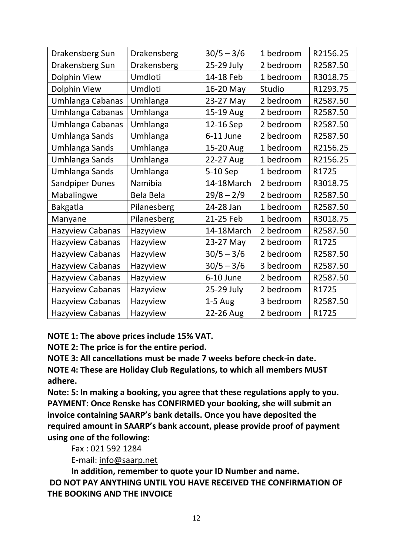| Drakensberg Sun         | Drakensberg | $30/5 - 3/6$ | 1 bedroom | R2156.25 |
|-------------------------|-------------|--------------|-----------|----------|
| Drakensberg Sun         | Drakensberg | 25-29 July   | 2 bedroom | R2587.50 |
| <b>Dolphin View</b>     | Umdloti     | 14-18 Feb    | 1 bedroom | R3018.75 |
| Dolphin View            | Umdloti     | 16-20 May    | Studio    | R1293.75 |
| Umhlanga Cabanas        | Umhlanga    | 23-27 May    | 2 bedroom | R2587.50 |
| Umhlanga Cabanas        | Umhlanga    | 15-19 Aug    | 2 bedroom | R2587.50 |
| Umhlanga Cabanas        | Umhlanga    | 12-16 Sep    | 2 bedroom | R2587.50 |
| Umhlanga Sands          | Umhlanga    | 6-11 June    | 2 bedroom | R2587.50 |
| <b>Umhlanga Sands</b>   | Umhlanga    | 15-20 Aug    | 1 bedroom | R2156.25 |
| Umhlanga Sands          | Umhlanga    | 22-27 Aug    | 1 bedroom | R2156.25 |
| Umhlanga Sands          | Umhlanga    | 5-10 Sep     | 1 bedroom | R1725    |
| <b>Sandpiper Dunes</b>  | Namibia     | 14-18March   | 2 bedroom | R3018.75 |
| Mabalingwe              | Bela Bela   | $29/8 - 2/9$ | 2 bedroom | R2587.50 |
| Bakgatla                | Pilanesberg | 24-28 Jan    | 1 bedroom | R2587.50 |
| Manyane                 | Pilanesberg | 21-25 Feb    | 1 bedroom | R3018.75 |
| <b>Hazyview Cabanas</b> | Hazyview    | 14-18March   | 2 bedroom | R2587.50 |
| <b>Hazyview Cabanas</b> | Hazyview    | 23-27 May    | 2 bedroom | R1725    |
| Hazyview Cabanas        | Hazyview    | $30/5 - 3/6$ | 2 bedroom | R2587.50 |
| <b>Hazyview Cabanas</b> | Hazyview    | $30/5 - 3/6$ | 3 bedroom | R2587.50 |
| <b>Hazyview Cabanas</b> | Hazyview    | 6-10 June    | 2 bedroom | R2587.50 |
| <b>Hazyview Cabanas</b> | Hazyview    | 25-29 July   | 2 bedroom | R1725    |
| <b>Hazyview Cabanas</b> | Hazyview    | $1-5$ Aug    | 3 bedroom | R2587.50 |
| <b>Hazyview Cabanas</b> | Hazyview    | 22-26 Aug    | 2 bedroom | R1725    |

**NOTE 1: The above prices include 15% VAT.**

**NOTE 2: The price is for the entire period.**

**NOTE 3: All cancellations must be made 7 weeks before check-in date.**

**NOTE 4: These are Holiday Club Regulations, to which all members MUST adhere.**

**Note: 5: In making a booking, you agree that these regulations apply to you. PAYMENT: Once Renske has CONFIRMED your booking, she will submit an invoice containing SAARP's bank details. Once you have deposited the required amount in SAARP's bank account, please provide proof of payment using one of the following:** 

Fax : 021 592 1284

E-mail: [info@saarp.net](mailto:info@saarp.net)

**In addition, remember to quote your ID Number and name.**

**DO NOT PAY ANYTHING UNTIL YOU HAVE RECEIVED THE CONFIRMATION OF THE BOOKING AND THE INVOICE**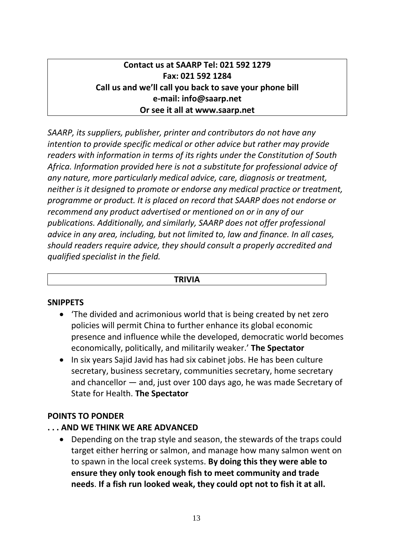# **Contact us at SAARP Tel: 021 592 1279 Fax: 021 592 1284 Call us and we'll call you back to save your phone bill e-mail: [info@saarp.net](mailto:info@saarp.net) Or see it all at [www.saarp.net](http://www.saarp.net/)**

*SAARP, its suppliers, publisher, printer and contributors do not have any intention to provide specific medical or other advice but rather may provide readers with information in terms of its rights under the Constitution of South Africa. Information provided here is not a substitute for professional advice of any nature, more particularly medical advice, care, diagnosis or treatment, neither is it designed to promote or endorse any medical practice or treatment, programme or product. It is placed on record that SAARP does not endorse or recommend any product advertised or mentioned on or in any of our publications. Additionally, and similarly, SAARP does not offer professional advice in any area, including, but not limited to, law and finance. In all cases, should readers require advice, they should consult a properly accredited and qualified specialist in the field.*

#### **TRIVIA**

### **SNIPPETS**

- 'The divided and acrimonious world that is being created by net zero policies will permit China to further enhance its global economic presence and influence while the developed, democratic world becomes economically, politically, and militarily weaker.' **The Spectator**
- In six years Sajid Javid has had six cabinet jobs. He has been culture secretary, business secretary, communities secretary, home secretary and chancellor — and, just over 100 days ago, he was made Secretary of State for Health. **The Spectator**

### **POINTS TO PONDER**

### **. . . AND WE THINK WE ARE ADVANCED**

 Depending on the trap style and season, the stewards of the traps could target either herring or salmon, and manage how many salmon went on to spawn in the local creek systems. **By doing this they were able to ensure they only took enough fish to meet community and trade needs**. **If a fish run looked weak, they could opt not to fish it at all.**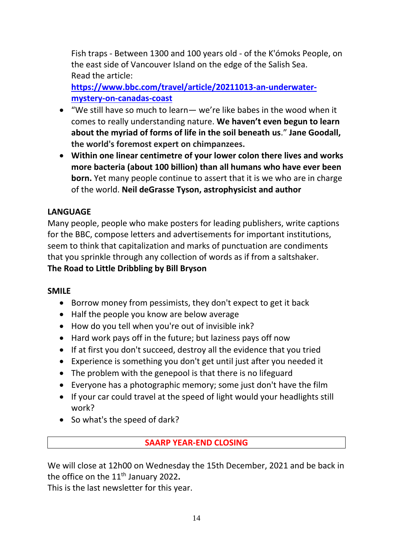Fish traps - Between 1300 and 100 years old - of the K'ómoks People, on the east side of Vancouver Island on the edge of the Salish Sea. Read the article:

**[https://www.bbc.com/travel/article/20211013-an-underwater](https://www.bbc.com/travel/article/20211013-an-underwater-mystery-on-canadas-coast)[mystery-on-canadas-coast](https://www.bbc.com/travel/article/20211013-an-underwater-mystery-on-canadas-coast)**

- "We still have so much to learn— we're like babes in the wood when it comes to really understanding nature. **We haven't even begun to learn about the myriad of forms of life in the soil beneath us**." **Jane Goodall, the world's foremost expert on chimpanzees.**
- **Within one linear centimetre of your lower colon there lives and works more bacteria (about 100 billion) than all humans who have ever been born.** Yet many people continue to assert that it is we who are in charge of the world. **Neil deGrasse Tyson, astrophysicist and author**

# **LANGUAGE**

Many people, people who make posters for leading publishers, write captions for the BBC, compose letters and advertisements for important institutions, seem to think that capitalization and marks of punctuation are condiments that you sprinkle through any collection of words as if from a saltshaker. **The Road to Little Dribbling by Bill Bryson**

## **SMILE**

- Borrow money from pessimists, they don't expect to get it back
- Half the people you know are below average
- How do you tell when you're out of invisible ink?
- Hard work pays off in the future; but laziness pays off now
- If at first you don't succeed, destroy all the evidence that you tried
- Experience is something you don't get until just after you needed it
- The problem with the genepool is that there is no lifeguard
- Everyone has a photographic memory; some just don't have the film
- If your car could travel at the speed of light would your headlights still work?
- So what's the speed of dark?

## **SAARP YEAR-END CLOSING**

We will close at 12h00 on Wednesday the 15th December, 2021 and be back in the office on the 11th January 2022**.**

This is the last newsletter for this year.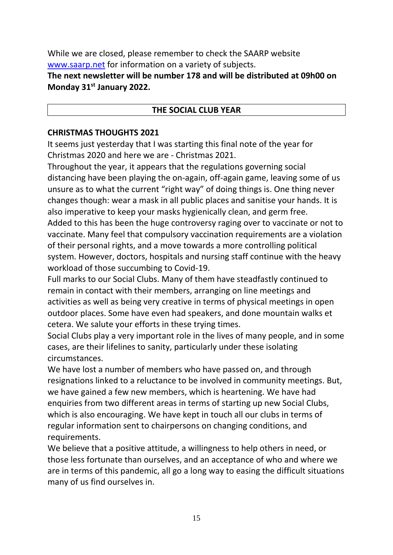While we are closed, please remember to check the SAARP website [www.saarp.net](http://www.saarp.net/) for information on a variety of subjects.

**The next newsletter will be number 178 and will be distributed at 09h00 on Monday 31st January 2022.**

## **THE SOCIAL CLUB YEAR**

### **CHRISTMAS THOUGHTS 2021**

It seems just yesterday that I was starting this final note of the year for Christmas 2020 and here we are - Christmas 2021.

Throughout the year, it appears that the regulations governing social distancing have been playing the on-again, off-again game, leaving some of us unsure as to what the current "right way" of doing things is. One thing never changes though: wear a mask in all public places and sanitise your hands. It is also imperative to keep your masks hygienically clean, and germ free. Added to this has been the huge controversy raging over to vaccinate or not to vaccinate. Many feel that compulsory vaccination requirements are a violation of their personal rights, and a move towards a more controlling political system. However, doctors, hospitals and nursing staff continue with the heavy workload of those succumbing to Covid-19.

Full marks to our Social Clubs. Many of them have steadfastly continued to remain in contact with their members, arranging on line meetings and activities as well as being very creative in terms of physical meetings in open outdoor places. Some have even had speakers, and done mountain walks et cetera. We salute your efforts in these trying times.

Social Clubs play a very important role in the lives of many people, and in some cases, are their lifelines to sanity, particularly under these isolating circumstances.

We have lost a number of members who have passed on, and through resignations linked to a reluctance to be involved in community meetings. But, we have gained a few new members, which is heartening. We have had enquiries from two different areas in terms of starting up new Social Clubs, which is also encouraging. We have kept in touch all our clubs in terms of regular information sent to chairpersons on changing conditions, and requirements.

We believe that a positive attitude, a willingness to help others in need, or those less fortunate than ourselves, and an acceptance of who and where we are in terms of this pandemic, all go a long way to easing the difficult situations many of us find ourselves in.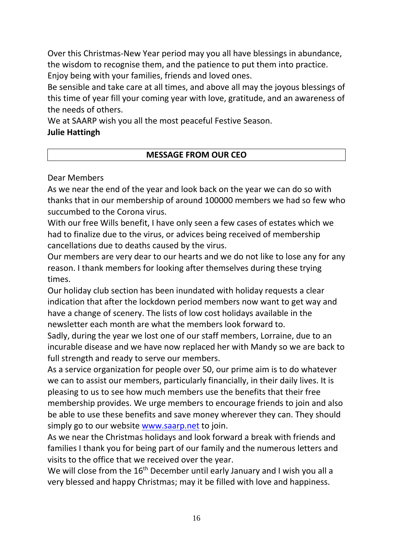Over this Christmas-New Year period may you all have blessings in abundance, the wisdom to recognise them, and the patience to put them into practice. Enjoy being with your families, friends and loved ones.

Be sensible and take care at all times, and above all may the joyous blessings of this time of year fill your coming year with love, gratitude, and an awareness of the needs of others.

We at SAARP wish you all the most peaceful Festive Season.

## **Julie Hattingh**

# **MESSAGE FROM OUR CEO**

## Dear Members

As we near the end of the year and look back on the year we can do so with thanks that in our membership of around 100000 members we had so few who succumbed to the Corona virus.

With our free Wills benefit, I have only seen a few cases of estates which we had to finalize due to the virus, or advices being received of membership cancellations due to deaths caused by the virus.

Our members are very dear to our hearts and we do not like to lose any for any reason. I thank members for looking after themselves during these trying times.

Our holiday club section has been inundated with holiday requests a clear indication that after the lockdown period members now want to get way and have a change of scenery. The lists of low cost holidays available in the newsletter each month are what the members look forward to.

Sadly, during the year we lost one of our staff members, Lorraine, due to an incurable disease and we have now replaced her with Mandy so we are back to full strength and ready to serve our members.

As a service organization for people over 50, our prime aim is to do whatever we can to assist our members, particularly financially, in their daily lives. It is pleasing to us to see how much members use the benefits that their free membership provides. We urge members to encourage friends to join and also be able to use these benefits and save money wherever they can. They should simply go to our website [www.saarp.net](http://www.saarp.net/) to join.

As we near the Christmas holidays and look forward a break with friends and families I thank you for being part of our family and the numerous letters and visits to the office that we received over the year.

We will close from the 16<sup>th</sup> December until early January and I wish you all a very blessed and happy Christmas; may it be filled with love and happiness.